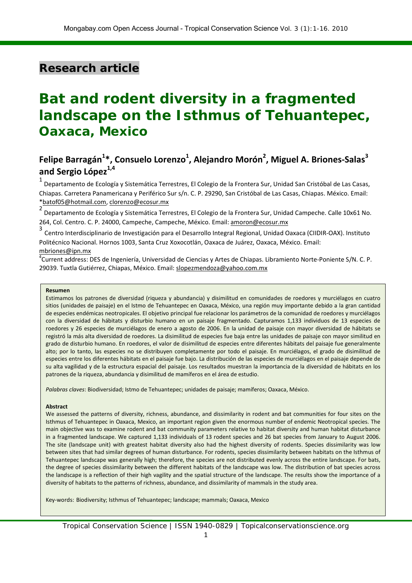# **Research article**

# **Bat and rodent diversity in a fragmented landscape on the Isthmus of Tehuantepec, Oaxaca, Mexico**

## **Felipe Barragán<sup>1</sup> \*, Consuelo Lorenzo<sup>1</sup> , Alejandro Morón<sup>2</sup> , Miguel A. Briones-Salas<sup>3</sup> and Sergio López1,4**

 $1$  Departamento de Ecología y Sistemática Terrestres, El Colegio de la Frontera Sur, Unidad San Cristóbal de Las Casas, Chiapas. Carretera Panamericana y Periférico Sur s/n. C. P. 29290, San Cristóbal de Las Casas, Chiapas. México. Email: [\\*batof05@hotmail.com,](mailto:*batof05@hotmail.com) [clorenzo@ecosur.mx](mailto:clorenzo@ecosur.mx)

<sup>2</sup> Departamento de Ecología y Sistemática Terrestres, El Colegio de la Frontera Sur, Unidad Campeche. Calle 10x61 No. 264, Col. Centro. C. P. 24000, Campeche, Campeche, México. Email[: amoron@ecosur.mx](mailto:amoron@ecosur.mx)

3 Centro Interdisciplinario de Investigación para el Desarrollo Integral Regional, Unidad Oaxaca (CIIDIR-OAX). Instituto Politécnico Nacional. Hornos 1003, Santa Cruz Xoxocotlán, Oaxaca de Juárez, Oaxaca, México. Email:

#### [mbriones@ipn.mx](mailto:mbriones@ipn.mx)

<sup>4</sup>Current address: DES de Ingeniería, Universidad de Ciencias y Artes de Chiapas. Libramiento Norte-Poniente S/N. C. P. 29039. Tuxtla Gutiérrez, Chiapas, México. Email: slopezmendoza@yahoo.com.mx

#### **Resumen**

Estimamos los patrones de diversidad (riqueza y abundancia) y disimilitud en comunidades de roedores y murciélagos en cuatro sitios (unidades de paisaje) en el Istmo de Tehuantepec en Oaxaca, México, una región muy importante debido a la gran cantidad de especies endémicas neotropicales. El objetivo principal fue relacionar los parámetros de la comunidad de roedores y murciélagos con la diversidad de hábitats y disturbio humano en un paisaje fragmentado. Capturamos 1,133 individuos de 13 especies de roedores y 26 especies de murciélagos de enero a agosto de 2006. En la unidad de paisaje con mayor diversidad de hábitats se registró la más alta diversidad de roedores. La disimilitud de especies fue baja entre las unidades de paisaje con mayor similitud en grado de disturbio humano. En roedores, el valor de disimilitud de especies entre diferentes hábitats del paisaje fue generalmente alto; por lo tanto, las especies no se distribuyen completamente por todo el paisaje. En murciélagos, el grado de disimilitud de especies entre los diferentes hábitats en el paisaje fue bajo. La distribución de las especies de murciélagos en el paisaje depende de su alta vagilidad y de la estructura espacial del paisaje. Los resultados muestran la importancia de la diversidad de hábitats en los patrones de la riqueza, abundancia y disimilitud de mamíferos en el área de estudio.

*Palabras claves*: Biodiversidad; Istmo de Tehuantepec; unidades de paisaje; mamíferos; Oaxaca, México.

#### **Abstract**

We assessed the patterns of diversity, richness, abundance, and dissimilarity in rodent and bat communities for four sites on the Isthmus of Tehuantepec in Oaxaca, Mexico, an important region given the enormous number of endemic Neotropical species. The main objective was to examine rodent and bat community parameters relative to habitat diversity and human habitat disturbance in a fragmented landscape. We captured 1,133 individuals of 13 rodent species and 26 bat species from January to August 2006. The site (landscape unit) with greatest habitat diversity also had the highest diversity of rodents. Species dissimilarity was low between sites that had similar degrees of human disturbance. For rodents, species dissimilarity between habitats on the Isthmus of Tehuantepec landscape was generally high; therefore, the species are not distributed evenly across the entire landscape. For bats, the degree of species dissimilarity between the different habitats of the landscape was low. The distribution of bat species across the landscape is a reflection of their high vagility and the spatial structure of the landscape. The results show the importance of a diversity of habitats to the patterns of richness, abundance, and dissimilarity of mammals in the study area.

Key-words: Biodiversity; Isthmus of Tehuantepec; landscape; mammals; Oaxaca, Mexico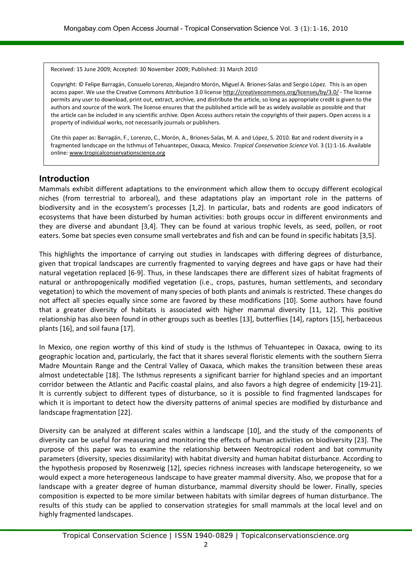Received: 15 June 2009; Accepted: 30 November 2009; Published: 31 March 2010

Copyright: © Felipe Barragán, Consuelo Lorenzo, Alejandro Morón, Miguel A. Briones-Salas and Sergio López. This is an open access paper. We use the Creative Commons Attribution 3.0 licens[e http://creativecommons.org/licenses/by/3.0/](http://creativecommons.org/licenses/by/3.0/) - The license permits any user to download, print out, extract, archive, and distribute the article, so long as appropriate credit is given to the authors and source of the work. The license ensures that the published article will be as widely available as possible and that the article can be included in any scientific archive. Open Access authors retain the copyrights of their papers. Open access is a property of individual works, not necessarily journals or publishers.

Cite this paper as: Barragán, F., Lorenzo, C., Morón, A., Briones-Salas, M. A. and López, S. 2010. Bat and rodent diversity in a fragmented landscape on the Isthmus of Tehuantepec, Oaxaca, Mexico. *Tropical Conservation Science* Vol. 3 (1):1-16. Available online[: www.tropicalconservationscience.org](http://www.tropicalconservationscience.org/)

#### **Introduction**

Mammals exhibit different adaptations to the environment which allow them to occupy different ecological niches (from terrestrial to arboreal), and these adaptations play an important role in the patterns of biodiversity and in the ecosystem's processes [1,2]. In particular, bats and rodents are good indicators of ecosystems that have been disturbed by human activities: both groups occur in different environments and they are diverse and abundant [3,4]. They can be found at various trophic levels, as seed, pollen, or root eaters. Some bat species even consume small vertebrates and fish and can be found in specific habitats [3,5].

This highlights the importance of carrying out studies in landscapes with differing degrees of disturbance, given that tropical landscapes are currently fragmented to varying degrees and have gaps or have had their natural vegetation replaced [6-9]. Thus, in these landscapes there are different sizes of habitat fragments of natural or anthropogenically modified vegetation (i.e., crops, pastures, human settlements, and secondary vegetation) to which the movement of many species of both plants and animals is restricted. These changes do not affect all species equally since some are favored by these modifications [10]. Some authors have found that a greater diversity of habitats is associated with higher mammal diversity [11, 12]. This positive relationship has also been found in other groups such as beetles [13], butterflies [14], raptors [15], herbaceous plants [16], and soil fauna [17].

In Mexico, one region worthy of this kind of study is the Isthmus of Tehuantepec in Oaxaca, owing to its geographic location and, particularly, the fact that it shares several floristic elements with the southern Sierra Madre Mountain Range and the Central Valley of Oaxaca, which makes the transition between these areas almost undetectable [18]. The Isthmus represents a significant barrier for highland species and an important corridor between the Atlantic and Pacific coastal plains, and also favors a high degree of endemicity [19-21]. It is currently subject to different types of disturbance, so it is possible to find fragmented landscapes for which it is important to detect how the diversity patterns of animal species are modified by disturbance and landscape fragmentation [22].

Diversity can be analyzed at different scales within a landscape [10], and the study of the components of diversity can be useful for measuring and monitoring the effects of human activities on biodiversity [23]. The purpose of this paper was to examine the relationship between Neotropical rodent and bat community parameters (diversity, species dissimilarity) with habitat diversity and human habitat disturbance. According to the hypothesis proposed by Rosenzweig [12], species richness increases with landscape heterogeneity, so we would expect a more heterogeneous landscape to have greater mammal diversity. Also, we propose that for a landscape with a greater degree of human disturbance, mammal diversity should be lower. Finally, species composition is expected to be more similar between habitats with similar degrees of human disturbance. The results of this study can be applied to conservation strategies for small mammals at the local level and on highly fragmented landscapes.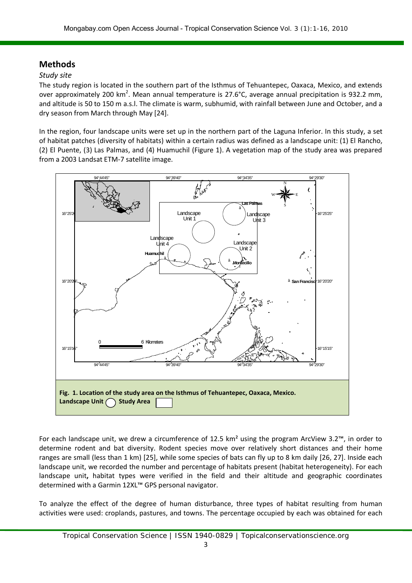## **Methods**

#### *Study site*

The study region is located in the southern part of the Isthmus of Tehuantepec, Oaxaca, Mexico, and extends over approximately 200 km<sup>2</sup>. Mean annual temperature is 27.6°C, average annual precipitation is 932.2 mm, and altitude is 50 to 150 m a.s.l. The climate is warm, subhumid, with rainfall between June and October, and a dry season from March through May [24].

In the region, four landscape units were set up in the northern part of the Laguna Inferior. In this study, a set of habitat patches (diversity of habitats) within a certain radius was defined as a landscape unit: (1) El Rancho, (2) El Puente, (3) Las Palmas, and (4) Huamuchil (Figure 1). A vegetation map of the study area was prepared from a 2003 Landsat ETM-7 satellite image.



For each landscape unit, we drew a circumference of 12.5 km<sup>2</sup> using the program ArcView 3.2™, in order to determine rodent and bat diversity. Rodent species move over relatively short distances and their home ranges are small (less than 1 km) [25], while some species of bats can fly up to 8 km daily [26, 27]. Inside each landscape unit, we recorded the number and percentage of habitats present (habitat heterogeneity). For each landscape unit**,** habitat types were verified in the field and their altitude and geographic coordinates determined with a Garmin 12XL™ GPS personal navigator.

To analyze the effect of the degree of human disturbance, three types of habitat resulting from human activities were used: croplands, pastures, and towns. The percentage occupied by each was obtained for each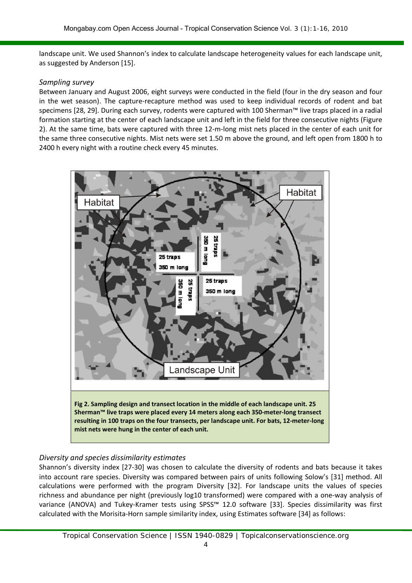landscape unit. We used Shannon's index to calculate landscape heterogeneity values for each landscape unit, as suggested by Anderson [15].

#### *Sampling survey*

Between January and August 2006, eight surveys were conducted in the field (four in the dry season and four in the wet season). The capture-recapture method was used to keep individual records of rodent and bat specimens [28, 29]. During each survey, rodents were captured with 100 Sherman™ live traps placed in a radial formation starting at the center of each landscape unit and left in the field for three consecutive nights (Figure 2). At the same time, bats were captured with three 12-m-long mist nets placed in the center of each unit for the same three consecutive nights. Mist nets were set 1.50 m above the ground, and left open from 1800 h to 2400 h every night with a routine check every 45 minutes.



#### *Diversity and species dissimilarity estimates*

Shannon's diversity index [27-30] was chosen to calculate the diversity of rodents and bats because it takes into account rare species. Diversity was compared between pairs of units following Solow's [31] method. All calculations were performed with the program Diversity [32]. For landscape units the values of species richness and abundance per night (previously log10 transformed) were compared with a one-way analysis of variance (ANOVA) and Tukey-Kramer tests using SPSS™ 12.0 software [33]. Species dissimilarity was first calculated with the Morisita-Horn sample similarity index, using Estimates software [34] as follows: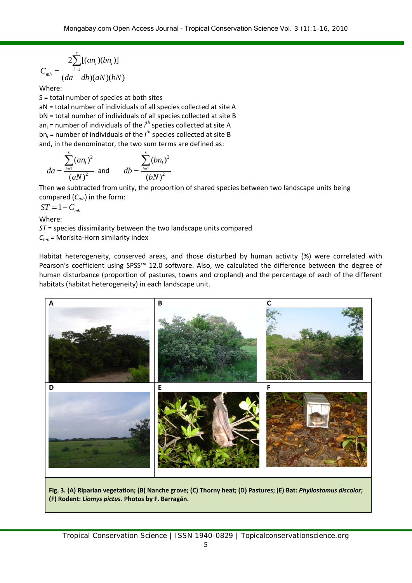$$
C_{mh} = \frac{2 \sum_{i=1}^{s} [(an_i)(bn_i)]}{(da+db)(aN)(bN)}
$$

Where:

S = total number of species at both sites aN = total number of individuals of all species collected at site A bN = total number of individuals of all species collected at site B an<sub>i</sub> = number of individuals of the *i<sup>th</sup>* species collected at site A bn<sub>i</sub> = number of individuals of the *i*<sup>th</sup> species collected at site B and, in the denominator, the two sum terms are defined as:

$$
da = \frac{\sum_{i=1}^{s} (an_i)^2}{(aN)^2} \text{ and } \frac{\sum_{i=1}^{s} (bn_i)^2}{(bN)^2}
$$

Then we subtracted from unity, the proportion of shared species between two landscape units being compared (*Cmh*) in the form:

 $ST = 1 - C_{mh}$ 

Where:

*ST* = species dissimilarity between the two landscape units compared *Chm* = Morisita-Horn similarity index

Habitat heterogeneity, conserved areas, and those disturbed by human activity (%) were correlated with Pearson's coefficient using SPSS<sup>™</sup> 12.0 software. Also, we calculated the difference between the degree of human disturbance (proportion of pastures, towns and cropland) and the percentage of each of the different habitats (habitat heterogeneity) in each landscape unit.



**Fig. 3. (A) Riparian vegetation; (B) Nanche grove; (C) Thorny heat; (D) Pastures; (E) Bat:** *Phyllostomus discolor***; (F) Rodent:** *Liomys pictus.* **Photos by F. Barragán.**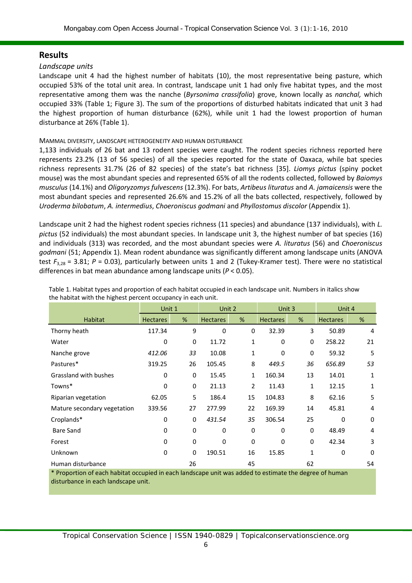## **Results**

#### *Landscape units*

Landscape unit 4 had the highest number of habitats (10), the most representative being pasture, which occupied 53% of the total unit area. In contrast, landscape unit 1 had only five habitat types, and the most representative among them was the nanche (*Byrsonima crassifolia*) grove, known locally as *nanchal,* which occupied 33% (Table 1; Figure 3). The sum of the proportions of disturbed habitats indicated that unit 3 had the highest proportion of human disturbance (62%), while unit 1 had the lowest proportion of human disturbance at 26% (Table 1).

#### MAMMAL DIVERSITY, LANDSCAPE HETEROGENEITY AND HUMAN DISTURBANCE

1,133 individuals of 26 bat and 13 rodent species were caught. The rodent species richness reported here represents 23.2% (13 of 56 species) of all the species reported for the state of Oaxaca, while bat species richness represents 31.7% (26 of 82 species) of the state's bat richness [35]. *Liomys pictus* (spiny pocket mouse) was the most abundant species and represented 65% of all the rodents collected, followed by *Baiomys musculus* (14.1%) and *Oligoryzomys fulvescens* (12.3%). For bats, *Artibeus lituratus* and *A. jamaicensis* were the most abundant species and represented 26.6% and 15.2% of all the bats collected, respectively, followed by *Uroderma bilobatum*, *A. intermedius*, *Choeroniscus godmani* and *Phyllostomus discolor* (Appendix 1).

Landscape unit 2 had the highest rodent species richness (11 species) and abundance (137 individuals), with *L. pictus* (52 individuals) the most abundant species. In landscape unit 3, the highest number of bat species (16) and individuals (313) was recorded, and the most abundant species were *A. lituratus* (56) and *Choeroniscus godmani* (51; Appendix 1). Mean rodent abundance was significantly different among landscape units (ANOVA test  $F_{3,28}$  = 3.81; *P* = 0.03), particularly between units 1 and 2 (Tukey-Kramer test). There were no statistical differences in bat mean abundance among landscape units (*P* < 0.05).

|                             | Unit 1<br>Unit 2 |             | Unit 3          |             | Unit 4          |             |                 |              |
|-----------------------------|------------------|-------------|-----------------|-------------|-----------------|-------------|-----------------|--------------|
| <b>Habitat</b>              | <b>Hectares</b>  | %           | <b>Hectares</b> | %           | <b>Hectares</b> | %           | <b>Hectares</b> | %            |
| Thorny heath                | 117.34           | 9           | $\Omega$        | 0           | 32.39           | 3           | 50.89           | 4            |
| Water                       | 0                | 0           | 11.72           | 1           | 0               | 0           | 258.22          | 21           |
| Nanche grove                | 412.06           | 33          | 10.08           | 1           | $\Omega$        | 0           | 59.32           | 5            |
| Pastures*                   | 319.25           | 26          | 105.45          | 8           | 449.5           | 36          | 656.89          | 53           |
| Grassland with bushes       | 0                | 0           | 15.45           | 1           | 160.34          | 13          | 14.01           | $\mathbf{1}$ |
| Towns*                      | 0                | 0           | 21.13           | 2           | 11.43           | 1           | 12.15           | $\mathbf{1}$ |
| Riparian vegetation         | 62.05            | 5           | 186.4           | 15          | 104.83          | 8           | 62.16           | 5            |
| Mature secondary vegetation | 339.56           | 27          | 277.99          | 22          | 169.39          | 14          | 45.81           | 4            |
| Croplands*                  | 0                | 0           | 431.54          | 35          | 306.54          | 25          | $\mathbf 0$     | 0            |
| <b>Bare Sand</b>            | $\Omega$         | $\Omega$    | 0               | $\Omega$    | $\Omega$        | $\mathbf 0$ | 48.49           | 4            |
| Forest                      | $\mathbf 0$      | $\mathbf 0$ | $\mathbf 0$     | $\mathbf 0$ | 0               | 0           | 42.34           | 3            |
| Unknown                     | 0                | $\mathbf 0$ | 190.51          | 16          | 15.85           | 1           | 0               | $\Omega$     |
| Human disturbance           |                  | 26          |                 | 45          |                 | 62          | $\sim$ $\sim$   | 54           |

Table 1. Habitat types and proportion of each habitat occupied in each landscape unit. Numbers in italics show the habitat with the highest percent occupancy in each unit.

Proportion of each habitat occupied in each landscape unit was added to estimate the degree of human disturbance in each landscape unit.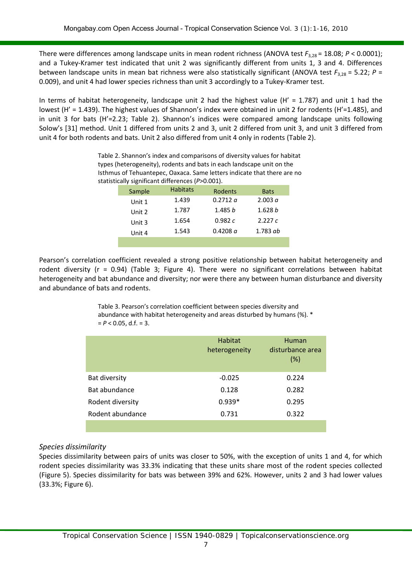There were differences among landscape units in mean rodent richness (ANOVA test *F*3,28 = 18.08; *P* < 0.0001); and a Tukey-Kramer test indicated that unit 2 was significantly different from units 1, 3 and 4. Differences between landscape units in mean bat richness were also statistically significant (ANOVA test  $F_{3,28} = 5.22$ ;  $P =$ 0.009), and unit 4 had lower species richness than unit 3 accordingly to a Tukey-Kramer test.

In terms of habitat heterogeneity, landscape unit 2 had the highest value ( $H' = 1.787$ ) and unit 1 had the lowest (H' = 1.439). The highest values of Shannon's index were obtained in unit 2 for rodents (H'=1.485), and in unit 3 for bats (H'=2.23; Table 2). Shannon's indices were compared among landscape units following Solow's [31] method. Unit 1 differed from units 2 and 3, unit 2 differed from unit 3, and unit 3 differed from unit 4 for both rodents and bats. Unit 2 also differed from unit 4 only in rodents (Table 2).

statistically significant differences (*P*>0.001). Sample Habitats Rodents Bats Unit 1 1.439 0.2712 *a* 2.003 *a* Unit 2 1.787 1.485 *b* 1.628 *b* Unit 3 1.654 0.982 *c* 2.227 *c* Unit 4 1.543 0.4208 *a* 1.783 *ab*

Table 2. Shannon's index and comparisons of diversity values for habitat types (heterogeneity), rodents and bats in each landscape unit on the Isthmus of Tehuantepec, Oaxaca. Same letters indicate that there are no

Pearson's correlation coefficient revealed a strong positive relationship between habitat heterogeneity and rodent diversity (r = 0.94) (Table 3; Figure 4). There were no significant correlations between habitat heterogeneity and bat abundance and diversity; nor were there any between human disturbance and diversity and abundance of bats and rodents.

> Table 3. Pearson's correlation coefficient between species diversity and abundance with habitat heterogeneity and areas disturbed by humans (%). \*  $= P < 0.05$ , d.f.  $= 3$ .

|                  | <b>Habitat</b><br>heterogeneity | <b>Human</b><br>disturbance area<br>(%) |
|------------------|---------------------------------|-----------------------------------------|
| Bat diversity    | $-0.025$                        | 0.224                                   |
| Bat abundance    | 0.128                           | 0.282                                   |
| Rodent diversity | $0.939*$                        | 0.295                                   |
| Rodent abundance | 0.731                           | 0.322                                   |
|                  |                                 |                                         |

#### *Species dissimilarity*

Species dissimilarity between pairs of units was closer to 50%, with the exception of units 1 and 4, for which rodent species dissimilarity was 33.3% indicating that these units share most of the rodent species collected (Figure 5). Species dissimilarity for bats was between 39% and 62%. However, units 2 and 3 had lower values (33.3%; Figure 6).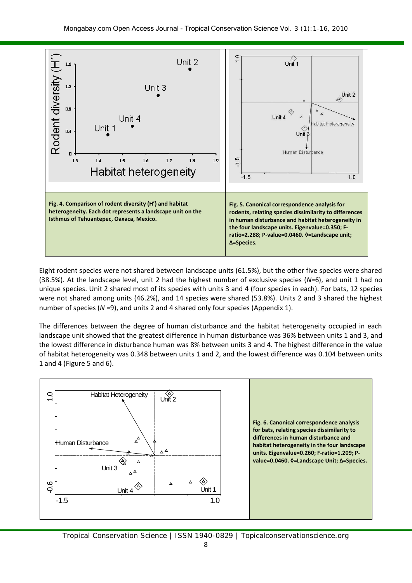

Eight rodent species were not shared between landscape units (61.5%), but the other five species were shared (38.5%). At the landscape level, unit 2 had the highest number of exclusive species (*N*=6), and unit 1 had no unique species. Unit 2 shared most of its species with units 3 and 4 (four species in each). For bats, 12 species were not shared among units (46.2%), and 14 species were shared (53.8%). Units 2 and 3 shared the highest number of species (*N* =9), and units 2 and 4 shared only four species (Appendix 1).

The differences between the degree of human disturbance and the habitat heterogeneity occupied in each landscape unit showed that the greatest difference in human disturbance was 36% between units 1 and 3, and the lowest difference in disturbance human was 8% between units 3 and 4. The highest difference in the value of habitat heterogeneity was 0.348 between units 1 and 2, and the lowest difference was 0.104 between units 1 and 4 (Figure 5 and 6).



Tropical Conservation Science | ISSN 1940-0829 | Topicalconservationscience.org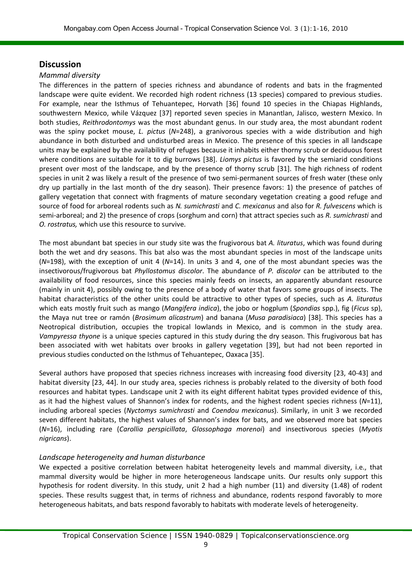## **Discussion**

#### *Mammal diversity*

The differences in the pattern of species richness and abundance of rodents and bats in the fragmented landscape were quite evident. We recorded high rodent richness (13 species) compared to previous studies. For example, near the Isthmus of Tehuantepec, Horvath [36] found 10 species in the Chiapas Highlands, southwestern Mexico, while Vázquez [37] reported seven species in Manantlan, Jalisco, western Mexico. In both studies, *Reithrodontomys* was the most abundant genus. In our study area, the most abundant rodent was the spiny pocket mouse, *L. pictus* (N=248), a granivorous species with a wide distribution and high abundance in both disturbed and undisturbed areas in Mexico. The presence of this species in all landscape units may be explained by the availability of refuges because it inhabits either thorny scrub or deciduous forest where conditions are suitable for it to dig burrows [38]. *Liomys pictus* is favored by the semiarid conditions present over most of the landscape, and by the presence of thorny scrub [31]. The high richness of rodent species in unit 2 was likely a result of the presence of two semi-permanent sources of fresh water (these only dry up partially in the last month of the dry season). Their presence favors: 1) the presence of patches of gallery vegetation that connect with fragments of mature secondary vegetation creating a good refuge and source of food for arboreal rodents such as *N. sumichrasti* and *C. mexicanus* and also for *R. fulvescens* which is semi-arboreal; and 2) the presence of crops (sorghum and corn) that attract species such as *R. sumichrasti* and *O. rostratus,* which use this resource to survive.

The most abundant bat species in our study site was the frugivorous bat *A. lituratus*, which was found during both the wet and dry seasons. This bat also was the most abundant species in most of the landscape units (*N*=198), with the exception of unit 4 (*N*=14). In units 3 and 4, one of the most abundant species was the insectivorous/frugivorous bat *Phyllostomus discolor*. The abundance of *P. discolor* can be attributed to the availability of food resources, since this species mainly feeds on insects, an apparently abundant resource (mainly in unit 4), possibly owing to the presence of a body of water that favors some groups of insects. The habitat characteristics of the other units could be attractive to other types of species, such as *A. lituratus* which eats mostly fruit such as mango (*Mangifera indica*), the jobo or hogplum (*Spondias* spp.), fig (*Ficus* sp), the Maya nut tree or ramón (*Brosimum alicastrum*) and banana (*Musa paradisiaca*) [38]. This species has a Neotropical distribution, occupies the tropical lowlands in Mexico, and is common in the study area. *Vampyressa thyone* is a unique species captured in this study during the dry season. This frugivorous bat has been associated with wet habitats over brooks in gallery vegetation [39], but had not been reported in previous studies conducted on the Isthmus of Tehuantepec, Oaxaca [35].

Several authors have proposed that species richness increases with increasing food diversity [23, 40-43] and habitat diversity [23, 44]. In our study area, species richness is probably related to the diversity of both food resources and habitat types. Landscape unit 2 with its eight different habitat types provided evidence of this, as it had the highest values of Shannon's index for rodents, and the highest rodent species richness (*N*=11), including arboreal species (*Nyctomys sumichrasti* and *Coendou mexicanus*). Similarly, in unit 3 we recorded seven different habitats, the highest values of Shannon's index for bats, and we observed more bat species (*N*=16), including rare (*Carollia perspicillata*, *Glossophaga morenoi*) and insectivorous species (*Myotis nigricans*).

#### *Landscape heterogeneity and human disturbance*

We expected a positive correlation between habitat heterogeneity levels and mammal diversity, i.e., that mammal diversity would be higher in more heterogeneous landscape units. Our results only support this hypothesis for rodent diversity. In this study, unit 2 had a high number (11) and diversity (1.48) of rodent species. These results suggest that, in terms of richness and abundance, rodents respond favorably to more heterogeneous habitats, and bats respond favorably to habitats with moderate levels of heterogeneity.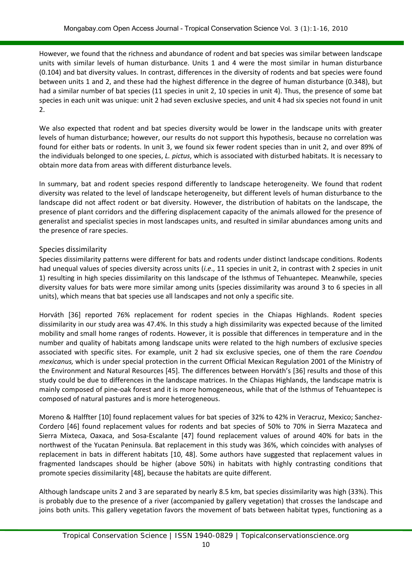However, we found that the richness and abundance of rodent and bat species was similar between landscape units with similar levels of human disturbance. Units 1 and 4 were the most similar in human disturbance (0.104) and bat diversity values. In contrast, differences in the diversity of rodents and bat species were found between units 1 and 2, and these had the highest difference in the degree of human disturbance (0.348), but had a similar number of bat species (11 species in unit 2, 10 species in unit 4). Thus, the presence of some bat species in each unit was unique: unit 2 had seven exclusive species, and unit 4 had six species not found in unit 2.

We also expected that rodent and bat species diversity would be lower in the landscape units with greater levels of human disturbance; however, our results do not support this hypothesis, because no correlation was found for either bats or rodents. In unit 3, we found six fewer rodent species than in unit 2, and over 89% of the individuals belonged to one species, *L. pictus*, which is associated with disturbed habitats. It is necessary to obtain more data from areas with different disturbance levels.

In summary, bat and rodent species respond differently to landscape heterogeneity. We found that rodent diversity was related to the level of landscape heterogeneity, but different levels of human disturbance to the landscape did not affect rodent or bat diversity. However, the distribution of habitats on the landscape, the presence of plant corridors and the differing displacement capacity of the animals allowed for the presence of generalist and specialist species in most landscapes units, and resulted in similar abundances among units and the presence of rare species.

#### Species dissimilarity

Species dissimilarity patterns were different for bats and rodents under distinct landscape conditions. Rodents had unequal values of species diversity across units (*i.e*., 11 species in unit 2, in contrast with 2 species in unit 1) resulting in high species dissimilarity on this landscape of the Isthmus of Tehuantepec. Meanwhile, species diversity values for bats were more similar among units (species dissimilarity was around 3 to 6 species in all units), which means that bat species use all landscapes and not only a specific site.

Horváth [36] reported 76% replacement for rodent species in the Chiapas Highlands. Rodent species dissimilarity in our study area was 47.4%. In this study a high dissimilarity was expected because of the limited mobility and small home ranges of rodents. However, it is possible that differences in temperature and in the number and quality of habitats among landscape units were related to the high numbers of exclusive species associated with specific sites. For example, unit 2 had six exclusive species, one of them the rare *Coendou mexicanus,* which is under special protection in the current Official Mexican Regulation 2001 of the Ministry of the Environment and Natural Resources [45]. The differences between Horváth's [36] results and those of this study could be due to differences in the landscape matrices. In the Chiapas Highlands, the landscape matrix is mainly composed of pine-oak forest and it is more homogeneous, while that of the Isthmus of Tehuantepec is composed of natural pastures and is more heterogeneous.

Moreno & Halffter [10] found replacement values for bat species of 32% to 42% in Veracruz, Mexico; Sanchez-Cordero [46] found replacement values for rodents and bat species of 50% to 70% in Sierra Mazateca and Sierra Mixteca, Oaxaca, and Sosa-Escalante [47] found replacement values of around 40% for bats in the northwest of the Yucatan Peninsula. Bat replacement in this study was 36%, which coincides with analyses of replacement in bats in different habitats [10, 48]. Some authors have suggested that replacement values in fragmented landscapes should be higher (above 50%) in habitats with highly contrasting conditions that promote species dissimilarity [48], because the habitats are quite different.

Although landscape units 2 and 3 are separated by nearly 8.5 km, bat species dissimilarity was high (33%). This is probably due to the presence of a river (accompanied by gallery vegetation) that crosses the landscape and joins both units. This gallery vegetation favors the movement of bats between habitat types, functioning as a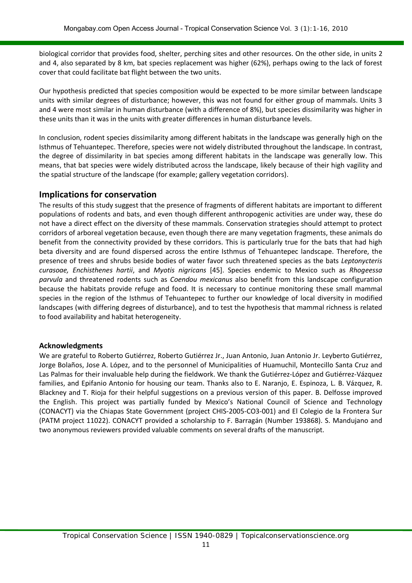biological corridor that provides food, shelter, perching sites and other resources. On the other side, in units 2 and 4, also separated by 8 km, bat species replacement was higher (62%), perhaps owing to the lack of forest cover that could facilitate bat flight between the two units.

Our hypothesis predicted that species composition would be expected to be more similar between landscape units with similar degrees of disturbance; however, this was not found for either group of mammals. Units 3 and 4 were most similar in human disturbance (with a difference of 8%), but species dissimilarity was higher in these units than it was in the units with greater differences in human disturbance levels.

In conclusion, rodent species dissimilarity among different habitats in the landscape was generally high on the Isthmus of Tehuantepec. Therefore, species were not widely distributed throughout the landscape. In contrast, the degree of dissimilarity in bat species among different habitats in the landscape was generally low. This means, that bat species were widely distributed across the landscape, likely because of their high vagility and the spatial structure of the landscape (for example; gallery vegetation corridors).

#### **Implications for conservation**

The results of this study suggest that the presence of fragments of different habitats are important to different populations of rodents and bats, and even though different anthropogenic activities are under way, these do not have a direct effect on the diversity of these mammals. Conservation strategies should attempt to protect corridors of arboreal vegetation because, even though there are many vegetation fragments, these animals do benefit from the connectivity provided by these corridors. This is particularly true for the bats that had high beta diversity and are found dispersed across the entire Isthmus of Tehuantepec landscape. Therefore, the presence of trees and shrubs beside bodies of water favor such threatened species as the bats *Leptonycteris curasoae, Enchisthenes hartii*, and *Myotis nigricans* [45]. Species endemic to Mexico such as *Rhogeessa parvula* and threatened rodents such as *Coendou mexicanus* also benefit from this landscape configuration because the habitats provide refuge and food. It is necessary to continue monitoring these small mammal species in the region of the Isthmus of Tehuantepec to further our knowledge of local diversity in modified landscapes (with differing degrees of disturbance), and to test the hypothesis that mammal richness is related to food availability and habitat heterogeneity.

#### **Acknowledgments**

We are grateful to Roberto Gutiérrez, Roberto Gutiérrez Jr., Juan Antonio, Juan Antonio Jr. Leyberto Gutiérrez, Jorge Bolaños, Jose A. López, and to the personnel of Municipalities of Huamuchil, Montecillo Santa Cruz and Las Palmas for their invaluable help during the fieldwork. We thank the Gutiérrez-López and Gutiérrez-Vázquez families, and Epifanio Antonio for housing our team. Thanks also to E. Naranjo, E. Espinoza, L. B. Vázquez, R. Blackney and T. Rioja for their helpful suggestions on a previous version of this paper. B. Delfosse improved the English. This project was partially funded by Mexico's National Council of Science and Technology (CONACYT) via the Chiapas State Government (project CHIS-2005-CO3-001) and El Colegio de la Frontera Sur (PATM project 11022). CONACYT provided a scholarship to F. Barragán (Number 193868). S. Mandujano and two anonymous reviewers provided valuable comments on several drafts of the manuscript.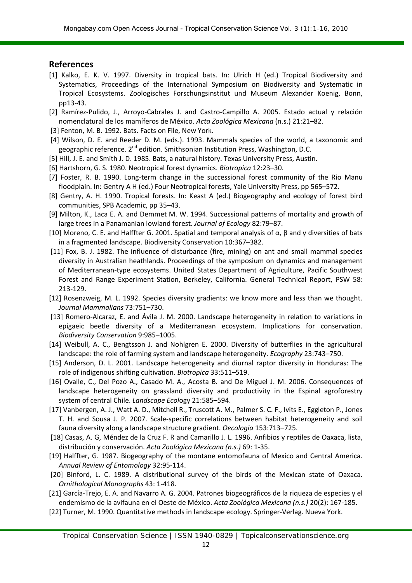### **References**

- [1] Kalko, E. K. V. 1997. Diversity in tropical bats. In: Ulrich H (ed.) Tropical Biodiversity and Systematics, Proceedings of the International Symposium on Biodiversity and Systematic in Tropical Ecosystems. Zoologisches Forschungsinstitut und Museum Alexander Koenig, Bonn, pp13-43.
- [2] Ramírez-Pulido, J., Arroyo-Cabrales J. and Castro-Campillo A. 2005. Estado actual y relación nomenclatural de los mamíferos de México. *Acta Zoológica Mexicana* (n.s.) 21:21–82.
- [3] Fenton, M. B. 1992. Bats. Facts on File, New York.
- [4] Wilson, D. E. and Reeder D. M. (eds.). 1993. Mammals species of the world, a taxonomic and geographic reference. 2<sup>nd</sup> edition. Smithsonian Institution Press. Washington. D.C.
- [5] Hill, J. E. and Smith J. D. 1985. Bats, a natural history. Texas University Press, Austin.
- [6] Hartshorn, G. S. 1980. Neotropical forest dynamics. *Biotropica* 12:23–30.
- [7] Foster, R. B. 1990. Long-term change in the successional forest community of the Rio Manu floodplain. In: Gentry A H (ed.) Four Neotropical forests, Yale University Press, pp 565–572.
- [8] Gentry, A. H. 1990. Tropical forests. In: Keast A (ed.) Biogeography and ecology of forest bird communities, SPB Academic, pp 35–43.
- [9] Milton, K., Laca E. A. and Demmet M. W. 1994. Successional patterns of mortality and growth of large trees in a Panamanian lowland forest. *Journal of Ecology* 82:79–87.
- [10] Moreno, C. E. and Halffter G. 2001. Spatial and temporal analysis of α, β and γ diversities of bats in a fragmented landscape. Biodiversity Conservation 10:367–382.
- [11] Fox, B. J. 1982. The influence of disturbance (fire, mining) on ant and small mammal species diversity in Australian heathlands. Proceedings of the symposium on dynamics and management of Mediterranean-type ecosystems. United States Department of Agriculture, Pacific Southwest Forest and Range Experiment Station, Berkeley, California. General Technical Report, PSW 58: 213-129.
- [12] Rosenzweig, M. L. 1992. Species diversity gradients: we know more and less than we thought. *Journal Mammalians* 73:751–730.
- [13] Romero-Alcaraz, E. and Ávila J. M. 2000. Landscape heterogeneity in relation to variations in epigaeic beetle diversity of a Mediterranean ecosystem. Implications for conservation. *Biodiversity Conservation* 9:985–1005.
- [14] Weibull, A. C., Bengtsson J. and Nohlgren E. 2000. Diversity of butterflies in the agricultural landscape: the role of farming system and landscape heterogeneity. *Ecography* 23:743–750.
- [15] Anderson, D. L. 2001. Landscape heterogeneity and diurnal raptor diversity in Honduras: The role of indigenous shifting cultivation. *Biotropica* 33:511–519.
- [16] Ovalle, C., Del Pozo A., Casado M. A., Acosta B. and De Miguel J. M. 2006. Consequences of landscape heterogeneity on grassland diversity and productivity in the Espinal agroforestry system of central Chile. *Landscape Ecol*ogy 21:585–594.
- [17] Vanbergen, A. J., Watt A. D., Mitchell R., Truscott A. M., Palmer S. C. F., Ivits E., Eggleton P., Jones T. H. and Sousa J. P. 2007. Scale-specific correlations between habitat heterogeneity and soil fauna diversity along a landscape structure gradient. *Oecologia* 153:713–725.
- [18] Casas, A. G, Méndez de la Cruz F. R and Camarillo J. L. 1996. Anfibios y reptiles de Oaxaca, lista, distribución y conservación. *Acta Zoológica Mexicana (n.s.)* 69: 1-35.
- [19] Halffter, G. 1987. Biogeography of the montane entomofauna of Mexico and Central America. *Annual Review of Entomology* 32:95-114.
- [20] Binford, L. C. 1989. A distributional survey of the birds of the Mexican state of Oaxaca. *Ornithological Monographs* 43: 1-418.
- [21] García-Trejo, E. A. and Navarro A. G. 2004. Patrones biogeográficos de la riqueza de especies y el endemismo de la avifauna en el Oeste de México. *Acta Zoológica Mexicana (n.s.)* 20(2): 167-185.
- [22] Turner, M. 1990. Quantitative methods in landscape ecology. Springer-Verlag. Nueva York.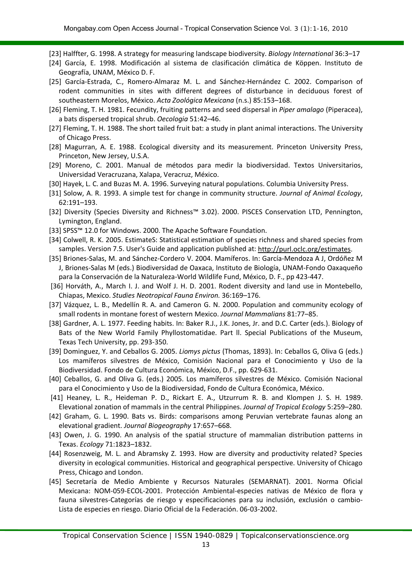- [23] Halffter, G. 1998. A strategy for measuring landscape biodiversity. *Biology International* 36:3–17
- [24] García, E. 1998. Modificación al sistema de clasificación climática de Köppen. Instituto de Geografía, UNAM, México D. F.
- [25] García-Estrada, C., Romero-Almaraz M. L. and Sánchez-Hernández C. 2002. Comparison of rodent communities in sites with different degrees of disturbance in deciduous forest of southeastern Morelos, México. *Acta Zoológica Mexicana* (n.s.) 85:153–168.
- [26] Fleming, T. H. 1981. Fecundity, fruiting patterns and seed dispersal in *Piper amalago* (Piperacea), a bats dispersed tropical shrub. *Oecologia* 51:42–46.
- [27] Fleming, T. H. 1988. The short tailed fruit bat: a study in plant animal interactions. The University of Chicago Press.
- [28] Magurran, A. E. 1988. Ecological diversity and its measurement. Princeton University Press, Princeton, New Jersey, U.S.A.
- [29] Moreno, C. 2001. Manual de métodos para medir la biodiversidad. Textos Universitarios, Universidad Veracruzana, Xalapa, Veracruz, México.
- [30] Hayek, L. C. and Buzas M. A. 1996. Surveying natural populations. Columbia University Press.
- [31] Solow, A. R. 1993. A simple test for change in community structure. *Journal of Animal Ecology*, 62:191–193.
- [32] Diversity (Species Diversity and Richness™ 3.02). 2000. PISCES Conservation LTD, Pennington, Lymington, England.
- [33] SPSS™ 12.0 for Windows. 2000. The Apache Software Foundation.
- [34] Colwell, R. K. 2005. EstimateS: Statistical estimation of species richness and shared species from samples. Version 7.5. User's Guide and application published at: [http://purl.oclc.org/estimates.](http://purl.oclc.org/estimates)
- [35] Briones-Salas, M. and Sánchez-Cordero V. 2004. Mamíferos. In: García-Mendoza A J, Ordóñez M J, Briones-Salas M (eds.) Biodiversidad de Oaxaca, Instituto de Biología, UNAM-Fondo Oaxaqueño para la Conservación de la Naturaleza-World Wildlife Fund, México, D. F., pp 423-447.
- [36] Horváth, A., March I. J. and Wolf J. H. D. 2001. Rodent diversity and land use in Montebello, Chiapas, Mexico. *Studies Neotropical Fauna Environ.* 36:169–176.
- [37] Vázquez, L. B., Medellín R. A. and Cameron G. N. 2000. Population and community ecology of small rodents in montane forest of western Mexico. *Journal Mammalians* 81:77–85.
- [38] Gardner, A. L. 1977. Feeding habits. In: Baker R.J., J.K. Jones, Jr. and D.C. Carter (eds.). Biology of Bats of the New World Family Phyllostomatidae. Part ll. Special Publications of the Museum, Texas Tech University, pp. 293-350.
- [39] Dominguez, Y. and Ceballos G. 2005. *Liomys pictus* (Thomas, 1893). In: Ceballos G, Oliva G (eds.) Los mamíferos silvestres de México, Comisión Nacional para el Conocimiento y Uso de la Biodiversidad. Fondo de Cultura Económica, México, D.F., pp. 629-631.
- [40] Ceballos, G. and Oliva G. (eds.) 2005. Los mamíferos silvestres de México. Comisión Nacional para el Conocimiento y Uso de la Biodiversidad, Fondo de Cultura Económica, México.
- [41] Heaney, L. R., Heideman P. D., Rickart E. A., Utzurrum R. B. and Klompen J. S. H. 1989. Elevational zonation of mammals in the central Philippines. *Journal of Tropical Ecology* 5:259–280.
- [42] Graham, G. L. 1990. Bats vs. Birds: comparisons among Peruvian vertebrate faunas along an elevational gradient. *Journal Biogeography* 17:657–668.
- [43] Owen, J. G. 1990. An analysis of the spatial structure of mammalian distribution patterns in Texas. *Ecology* 71:1823–1832.
- [44] Rosenzweig, M. L. and Abramsky Z. 1993. How are diversity and productivity related? Species diversity in ecological communities. Historical and geographical perspective. University of Chicago Press, Chicago and London.
- [45] Secretaría de Medio Ambiente y Recursos Naturales (SEMARNAT). 2001. Norma Oficial Mexicana: NOM-059-ECOL-2001. Protección Ambiental-especies nativas de México de flora y fauna silvestres-Categorías de riesgo y especificaciones para su inclusión, exclusión o cambio-Lista de especies en riesgo. Diario Oficial de la Federación. 06-03-2002.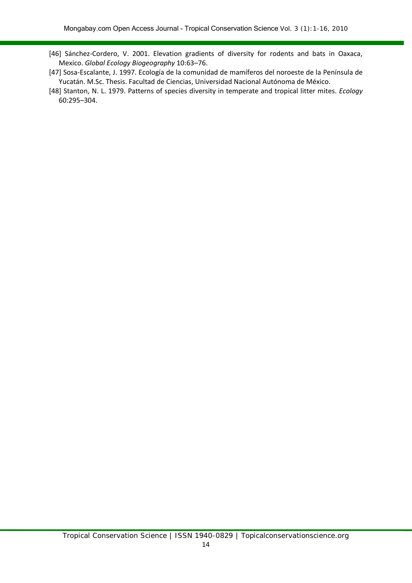- [46] Sánchez-Cordero, V. 2001. Elevation gradients of diversity for rodents and bats in Oaxaca, Mexico. *Global Ecology Biogeography* 10:63–76.
- [47] Sosa-Escalante, J. 1997. Ecología de la comunidad de mamíferos del noroeste de la Península de Yucatán. M.Sc. Thesis. Facultad de Ciencias, Universidad Nacional Autónoma de México.
- [48] Stanton, N. L. 1979. Patterns of species diversity in temperate and tropical litter mites. *Ecology* 60:295–304.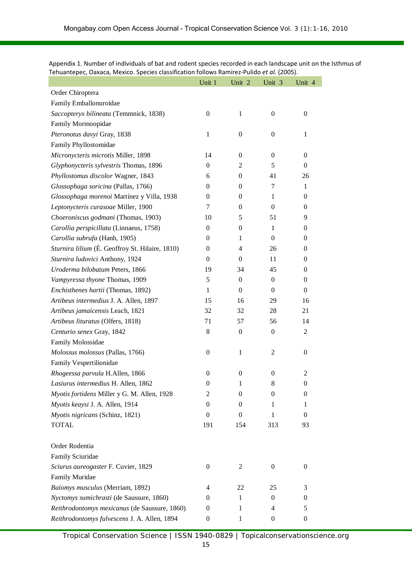|                                                 | Unit 1           | Unit 2           | Unit 3           | Unit 4           |
|-------------------------------------------------|------------------|------------------|------------------|------------------|
| Order Chiroptera                                |                  |                  |                  |                  |
| Family Emballonuroidae                          |                  |                  |                  |                  |
| Saccopteryx bilineata (Temmnick, 1838)          | $\theta$         | $\mathbf{1}$     | 0                | 0                |
| Family Mormoopidae                              |                  |                  |                  |                  |
| Pteronotus davyi Gray, 1838                     | $\mathbf{1}$     | $\boldsymbol{0}$ | $\boldsymbol{0}$ | 1                |
| Family Phyllostomidae                           |                  |                  |                  |                  |
| Micronycteris microtis Miller, 1898             | 14               | 0                | 0                | 0                |
| Glyphonycteris sylvestris Thomas, 1896          | $\theta$         | $\overline{2}$   | 5                | $\mathbf{0}$     |
| Phyllostomus discolor Wagner, 1843              | 6                | $\boldsymbol{0}$ | 41               | 26               |
| Glossophaga soricina (Pallas, 1766)             | $\theta$         | $\overline{0}$   | 7                | 1                |
| Glossophaga morenoi Martínez y Villa, 1938      | $\theta$         | 0                | 1                | $\boldsymbol{0}$ |
| Leptonycteris curasoae Miller, 1900             | 7                | $\overline{0}$   | $\Omega$         | $\overline{0}$   |
| Choeroniscus godmani (Thomas, 1903)             | 10               | 5                | 51               | 9                |
| Carollia perspicillata (Linnaeus, 1758)         | $\theta$         | $\boldsymbol{0}$ | $\mathbf{1}$     | 0                |
| Carollia subrufa (Hanh, 1905)                   | $\theta$         | 1                | $\theta$         | 0                |
| Sturnira lilium (É. Geoffroy St. Hilaire, 1810) | $\Omega$         | $\overline{4}$   | 26               | 0                |
| Sturnira ludovici Anthony, 1924                 | $\theta$         | 0                | 11               | 0                |
| Uroderma bilobatum Peters, 1866                 | 19               | 34               | 45               | 0                |
| Vampyressa thyone Thomas, 1909                  | 5                | $\boldsymbol{0}$ | 0                | 0                |
| Enchisthenes hartii (Thomas, 1892)              | $\mathbf{1}$     | $\boldsymbol{0}$ | $\Omega$         | $\mathbf{0}$     |
| Artibeus intermedius J. A. Allen, 1897          | 15               | 16               | 29               | 16               |
| Artibeus jamaicensis Leach, 1821                | 32               | 32               | 28               | 21               |
| Artibeus lituratus (Olfers, 1818)               | 71               | 57               | 56               | 14               |
| Centurio senex Gray, 1842                       | 8                | $\boldsymbol{0}$ | $\boldsymbol{0}$ | 2                |
| Family Molossidae                               |                  |                  |                  |                  |
| Molossus molossus (Pallas, 1766)                | $\boldsymbol{0}$ | $\mathbf{1}$     | $\overline{c}$   | $\boldsymbol{0}$ |
| Family Vespertilionidae                         |                  |                  |                  |                  |
| Rhogeessa parvula H.Allen, 1866                 | $\boldsymbol{0}$ | $\boldsymbol{0}$ | $\theta$         | 2                |
| Lasiurus intermedius H. Allen, 1862             | $\boldsymbol{0}$ | 1                | 8                | 0                |
| Myotis fortidens Miller y G. M. Allen, 1928     | 2                | $\boldsymbol{0}$ | 0                | $\overline{0}$   |
| Myotis keaysi J. A. Allen, 1914                 | $\theta$         | 0                | 1                | 1                |
| Myotis nigricans (Schinz, 1821)                 | $\boldsymbol{0}$ | $\boldsymbol{0}$ | $\mathbf{1}$     | $\theta$         |
| <b>TOTAL</b>                                    | 191              | 154              | 313              | 93               |
| Order Rodentia                                  |                  |                  |                  |                  |
| Family Sciuridae                                |                  |                  |                  |                  |
| Sciurus aureogaster F. Cuvier, 1829             | $\boldsymbol{0}$ | 2                | 0                | 0                |
| Family Muridae                                  |                  |                  |                  |                  |
| Baiomys musculus (Merriam, 1892)                | 4                | 22               | 25               | 3                |
| Nyctomys sumichrasti (de Saussure, 1860)        | $\theta$         | $\mathbf{1}$     | $\boldsymbol{0}$ | 0                |
| Reithrodontomys mexicanus (de Saussure, 1860)   | $\theta$         | 1                | 4                | 5                |
| Reithrodontomys fulvescens J. A. Allen, 1894    | $\boldsymbol{0}$ | 1                | 0                | 0                |

Appendix 1. Number of individuals of bat and rodent species recorded in each landscape unit on the Isthmus of Tehuantepec, Oaxaca, Mexico. Species classification follows Ramirez-Pulido *et al.* (2005).

Tropical Conservation Science | ISSN 1940-0829 | Topicalconservationscience.org